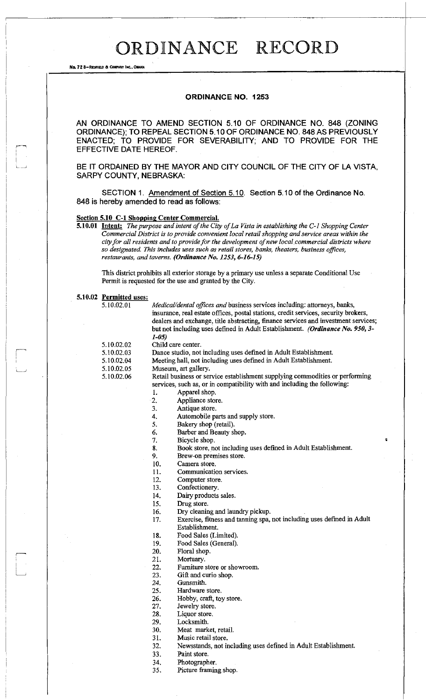No. 72 8-REDFIELD & COMPANY INC., OMARA

#### **ORDINANCE NO. 1253**

AN ORDINANCE TO AMEND SECTION 5.10 OF ORDINANCE NO. 848 (ZONING ORDINANCE); TO REPEAL SECTION 5.10 OF ORDINANCE NO. 848 AS PREVIOUSLY ENACTED; TO PROVIDE FOR SEVERABILITY; AND TO PROVIDE FOR THE EFFECTIVE DATE HEREOF.

BE IT ORDAINED BY THE MAYOR AND CITY COUNCIL OF THE CITY OF LA VISTA, SARPY COUNTY, NEBRASKA:

SECTION 1. Amendment of Section 5.10. Section 5.10 of the Ordinance No. 848 is hereby amended to read as follows:

### **Section 5.10 C-1 Shopping Center Commercial.**

**5.10.01 Intent:** *The purpose and intent of the City of La Vista in establishing the C-1 Shopping Center Commercial District is to provide convenient local retail shopping and service areas within the city for all residents and to provide for the development of new local commercial districts where so designated. This includes uses such as retail stores, banks, theaters, business offices, restaurants, and taverns. (Ordinance No. 1253, 6-16-15)* 

This district prohibits all exterior storage by a primary use unless a separate Conditional Use Permit is requested for the use and granted by the City.

| 5.10.02 Permitted uses: |                                                                           |                                                                                     |  |  |  |  |  |
|-------------------------|---------------------------------------------------------------------------|-------------------------------------------------------------------------------------|--|--|--|--|--|
| 5.10.02.01              | Medical/dental offices and business services including: attorneys, banks, |                                                                                     |  |  |  |  |  |
|                         |                                                                           | insurance, real estate offices, postal stations, credit services, security brokers, |  |  |  |  |  |
|                         |                                                                           | dealers and exchange, title abstracting, finance services and investment services;  |  |  |  |  |  |
|                         |                                                                           | but not including uses defined in Adult Establishment. (Ordinance No. 950, 3-       |  |  |  |  |  |
|                         | $1 - 0.5$                                                                 |                                                                                     |  |  |  |  |  |
| 5.10.02.02              | Child care center.                                                        |                                                                                     |  |  |  |  |  |
| 5.10.02.03              | Dance studio, not including uses defined in Adult Establishment.          |                                                                                     |  |  |  |  |  |
| 5.10.02.04              | Meeting hall, not including uses defined in Adult Establishment.          |                                                                                     |  |  |  |  |  |
| 5.10.02.05              |                                                                           | Museum, art gallery.                                                                |  |  |  |  |  |
| 5.10.02.06              |                                                                           | Retail business or service establishment supplying commodities or performing        |  |  |  |  |  |
|                         |                                                                           | services, such as, or in compatibility with and including the following:            |  |  |  |  |  |
|                         | 1.                                                                        | Apparel shop.                                                                       |  |  |  |  |  |
|                         | 2.                                                                        | Appliance store.                                                                    |  |  |  |  |  |
|                         | 3.                                                                        | Antique store.                                                                      |  |  |  |  |  |
|                         | 4.                                                                        | Automobile parts and supply store.                                                  |  |  |  |  |  |
|                         | 5.                                                                        | Bakery shop (retail).                                                               |  |  |  |  |  |
|                         | 6.                                                                        | Barber and Beauty shop.                                                             |  |  |  |  |  |
|                         | 7.                                                                        | Bicycle shop.                                                                       |  |  |  |  |  |
|                         | 8.                                                                        | Book store, not including uses defined in Adult Establishment.                      |  |  |  |  |  |
|                         | 9.                                                                        | Brew-on premises store.                                                             |  |  |  |  |  |
|                         | 10.                                                                       | Camera store.                                                                       |  |  |  |  |  |
|                         | 11.                                                                       | Communication services.                                                             |  |  |  |  |  |
|                         | 12.                                                                       | Computer store.                                                                     |  |  |  |  |  |
|                         | 13.                                                                       | Confectionery.                                                                      |  |  |  |  |  |
|                         | 14.                                                                       | Dairy products sales.                                                               |  |  |  |  |  |
|                         | 15.                                                                       | Drug store.                                                                         |  |  |  |  |  |
|                         | 16.                                                                       | Dry cleaning and laundry pickup.                                                    |  |  |  |  |  |
|                         | 17.                                                                       | Exercise, fitness and tanning spa, not including uses defined in Adult              |  |  |  |  |  |
|                         |                                                                           | Establishment.                                                                      |  |  |  |  |  |
|                         | 18.                                                                       | Food Sales (Limited).                                                               |  |  |  |  |  |
|                         | 19.                                                                       | Food Sales (General).                                                               |  |  |  |  |  |
|                         | 20.                                                                       | Floral shop.                                                                        |  |  |  |  |  |
|                         | 21.                                                                       | Mortuary.                                                                           |  |  |  |  |  |
|                         | 22.                                                                       | Furniture store or showroom.                                                        |  |  |  |  |  |
|                         | 23.                                                                       | Gift and curio shop.                                                                |  |  |  |  |  |
|                         | 24.                                                                       | Gunsmith.                                                                           |  |  |  |  |  |
|                         | 25.                                                                       | Hardware store.                                                                     |  |  |  |  |  |
|                         | 26.                                                                       | Hobby, craft, toy store.                                                            |  |  |  |  |  |
|                         | 27.                                                                       | Jewelry store.                                                                      |  |  |  |  |  |
|                         | 28.                                                                       | Liquor store.                                                                       |  |  |  |  |  |
|                         | 29.                                                                       | Locksmith.                                                                          |  |  |  |  |  |
|                         | 30.                                                                       | Meat market, retail.                                                                |  |  |  |  |  |
|                         | 31.                                                                       | Music retail store.                                                                 |  |  |  |  |  |
|                         | 32.                                                                       | Newsstands, not including uses defined in Adult Establishment.                      |  |  |  |  |  |

33. Paint store.

34. Photographer.

35. Picture framing shop.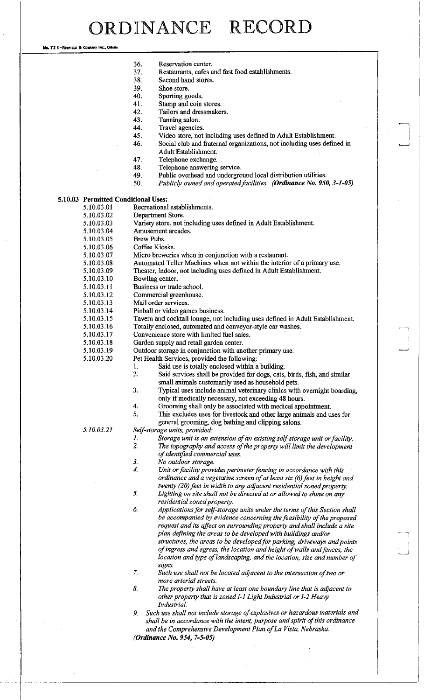No. 72 8-REDFIELD & COMPANY INC., OMAH

| 36. | Reservation center.                              |
|-----|--------------------------------------------------|
| 37. | Restaurants, cafes and fast food establishments. |

- 38. Second hand stores.
- 
- 39. Shoe store.<br>40. Sporting go Sporting goods.
- 41. Stamp and coin stores.
- 42. Tailors and dressmakers.<br>43. Tanning salon.
	- Tanning salon.
- 44. Travel agencies.
- 45. Video store, not including uses defined in Adult Establishment.
- 46. Social club and fraternal organizations, not including uses defined in Adult Establishment.
- 47. Telephone exchange.
- 48. Telephone answering service.
- 49. Public overhead and underground local distribution utilities.
- 50. *Publicly owned and operatedfacilities. (Ordinance No. 950, 3-1-05)*

### **5.10.03 Permitted Conditional Uses:**

- 5.10.03.01 Recreational establishments.<br>5.10.03.02 Department Store.
	- Department Store.
- 5.10.03.03 Variety store, not including uses defined in Adult Establishment.
	- Amusement arcades.
- 5.10.03.05 Brew Pubs.
	-
- 5.10.03.06 Coffee Kiosks.<br>5.10.03.07 Micro brewerie Micro breweries when in conjunction with a restaurant.
- 5.10.03.08 Automated Teller Machines when not within the interior of a primary use.
- 5.10.03.09 Theater, indoor, not including uses defined in Adult Establishment.
- 5.10.03.10 Bowling center.
- 5.10.03.11 Business or trade school.
- 5.10.03.12 Commercial greenhouse.
- 5.10.03.13 Mail order services.
	-
- 5.10.03.14 Pinball or video games business.<br>5.10.03.15 Tavern and cocktail lounge, not
	- 5.10.03.15 Tavern and cocktail lounge, not including uses defined in Adult Establishment.
- 5.10.03.16 Totally enclosed, automated and conveyor-style car washes.
- 5.10.03.17 Convenience store with limited fuel sales.
- 5.10.03.18 Garden supply and retail garden center.
- 5.10.03.19 Outdoor storage in conjunction with another primary use.
- 5.10.03.20 Pet Health Services, provided the following:
	- 1. Said use is totally enclosed within a building.
	- 2. Said services shall be provided for dogs, cats, birds, fish, and similar small animals customarily used as household pets.
	- 3. Typical uses include animal veterinary clinics with overnight boarding, only if medically necessary, not exceeding 48 hours.
	- 4. Grooming shall only be associated with medical appointment.
	- 5. This excludes uses for livestock and other large animals and uses for
	- general grooming, dog bathing and clipping salons.

#### *5.10.03.21 Self-storage units, provided:*

- *1. Storage unit is an extension of an existing self-storage unit or facility.* 
	- *2. The topography and access of the property will limit the development*
- *of identified commercial uses.*
- *3. No outdoor storage.*
- *4. Unit or facility provides perimeter fencing in accordance with this ordinance and a vegetative screen of at least six (6) feet in height and twenty (20) feet in width to any adjacent residential zoned property. 5. Lighting on site shall not be directed at or allowed to shine on any*
- *residential zoned property.*
- *6. Applications for self-storage units under the terms of this Section shall be accompanied by evidence concerning the feasibility of the proposed request and its affect on surrounding property and shall include a site plan defining the areas to be developed with buildings and/or structures, the areas to be developedfor parking, driveways and points of ingress and egress, the location and height of walls andfences, the location and type of landscaping, and the location, size and number of signs.*
- *7. Such use shall not be located adjacent to the intersection of two or more arterial streets.*
- *8. The property shall have at least one boundary line that is adjacent to other property that is zoned 1-1 Light Industrial or 1-2 Heavy Industrial.*
- *9. Such use shall not include storage of explosives or hazardous materials and shall be in accordance with the intent, purpose and spirit of this ordinance and the Comprehensive Development Plan of La Vista, Nebraska.*

*(Ordinance No. 954, 7-5-05)*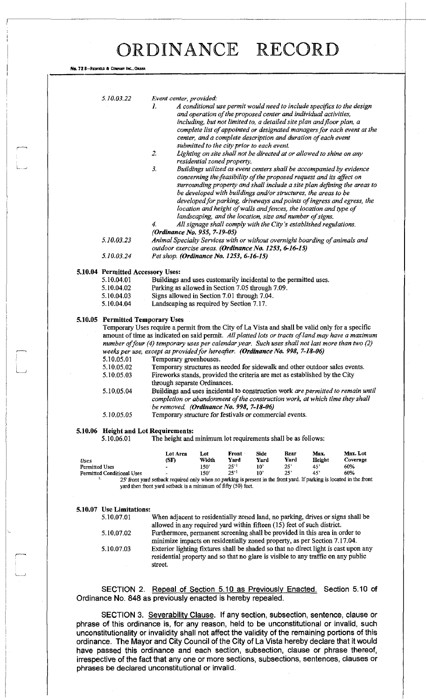|                       | 5.10.03.22                                                                                        | Event center, provided:<br>A conditional use permit would need to include specifics to the design<br>1.<br>and operation of the proposed center and individual activities,<br>including, but not limited to, a detailed site plan and floor plan, a<br>complete list of appointed or designated managers for each event at the<br>center, and a complete description and duration of each event<br>submitted to the city prior to each event.<br>2.<br>Lighting on site shall not be directed at or allowed to shine on any<br>residential zoned property.<br>3.<br>Buildings utilized as event centers shall be accompanied by evidence<br>concerning the feasibility of the proposed request and its affect on<br>surrounding property and shall include a site plan defining the areas to<br>be developed with buildings and/or structures, the areas to be<br>developed for parking, driveways and points of ingress and egress, the<br>location and height of walls and fences, the location and type of<br>landscaping, and the location, size and number of signs.<br>All signage shall comply with the City's established regulations.<br>4.<br>(Ordinance No. 955, 7-19-05) |                  |           |              |      |        |          |  |  |  |  |
|-----------------------|---------------------------------------------------------------------------------------------------|--------------------------------------------------------------------------------------------------------------------------------------------------------------------------------------------------------------------------------------------------------------------------------------------------------------------------------------------------------------------------------------------------------------------------------------------------------------------------------------------------------------------------------------------------------------------------------------------------------------------------------------------------------------------------------------------------------------------------------------------------------------------------------------------------------------------------------------------------------------------------------------------------------------------------------------------------------------------------------------------------------------------------------------------------------------------------------------------------------------------------------------------------------------------------------------|------------------|-----------|--------------|------|--------|----------|--|--|--|--|
|                       |                                                                                                   |                                                                                                                                                                                                                                                                                                                                                                                                                                                                                                                                                                                                                                                                                                                                                                                                                                                                                                                                                                                                                                                                                                                                                                                      |                  |           |              |      |        |          |  |  |  |  |
|                       |                                                                                                   |                                                                                                                                                                                                                                                                                                                                                                                                                                                                                                                                                                                                                                                                                                                                                                                                                                                                                                                                                                                                                                                                                                                                                                                      |                  |           |              |      |        |          |  |  |  |  |
|                       | 5.10.03.23                                                                                        | Animal Specialty Services with or without overnight boarding of animals and                                                                                                                                                                                                                                                                                                                                                                                                                                                                                                                                                                                                                                                                                                                                                                                                                                                                                                                                                                                                                                                                                                          |                  |           |              |      |        |          |  |  |  |  |
|                       | 5.10.03.24                                                                                        | outdoor exercise areas. (Ordinance No. 1253, 6-16-15)<br>Pet shop. (Ordinance No. 1253, 6-16-15)                                                                                                                                                                                                                                                                                                                                                                                                                                                                                                                                                                                                                                                                                                                                                                                                                                                                                                                                                                                                                                                                                     |                  |           |              |      |        |          |  |  |  |  |
|                       |                                                                                                   |                                                                                                                                                                                                                                                                                                                                                                                                                                                                                                                                                                                                                                                                                                                                                                                                                                                                                                                                                                                                                                                                                                                                                                                      |                  |           |              |      |        |          |  |  |  |  |
|                       | 5.10.04 Permitted Accessory Uses:                                                                 |                                                                                                                                                                                                                                                                                                                                                                                                                                                                                                                                                                                                                                                                                                                                                                                                                                                                                                                                                                                                                                                                                                                                                                                      |                  |           |              |      |        |          |  |  |  |  |
|                       | 5.10.04.01                                                                                        | Buildings and uses customarily incidental to the permitted uses.                                                                                                                                                                                                                                                                                                                                                                                                                                                                                                                                                                                                                                                                                                                                                                                                                                                                                                                                                                                                                                                                                                                     |                  |           |              |      |        |          |  |  |  |  |
|                       | 5.10.04.02                                                                                        | Parking as allowed in Section 7.05 through 7.09.                                                                                                                                                                                                                                                                                                                                                                                                                                                                                                                                                                                                                                                                                                                                                                                                                                                                                                                                                                                                                                                                                                                                     |                  |           |              |      |        |          |  |  |  |  |
|                       | 5.10.04.03                                                                                        | Signs allowed in Section 7.01 through 7.04.                                                                                                                                                                                                                                                                                                                                                                                                                                                                                                                                                                                                                                                                                                                                                                                                                                                                                                                                                                                                                                                                                                                                          |                  |           |              |      |        |          |  |  |  |  |
|                       | 5.10.04.04                                                                                        | Landscaping as required by Section 7.17.                                                                                                                                                                                                                                                                                                                                                                                                                                                                                                                                                                                                                                                                                                                                                                                                                                                                                                                                                                                                                                                                                                                                             |                  |           |              |      |        |          |  |  |  |  |
|                       | 5.10.05 Permitted Temporary Uses                                                                  |                                                                                                                                                                                                                                                                                                                                                                                                                                                                                                                                                                                                                                                                                                                                                                                                                                                                                                                                                                                                                                                                                                                                                                                      |                  |           |              |      |        |          |  |  |  |  |
|                       | Temporary Uses require a permit from the City of La Vista and shall be valid only for a specific  |                                                                                                                                                                                                                                                                                                                                                                                                                                                                                                                                                                                                                                                                                                                                                                                                                                                                                                                                                                                                                                                                                                                                                                                      |                  |           |              |      |        |          |  |  |  |  |
|                       | amount of time as indicated on said permit. All platted lots or tracts of land may have a maximum |                                                                                                                                                                                                                                                                                                                                                                                                                                                                                                                                                                                                                                                                                                                                                                                                                                                                                                                                                                                                                                                                                                                                                                                      |                  |           |              |      |        |          |  |  |  |  |
|                       |                                                                                                   | number of four (4) temporary uses per calendar year. Such uses shall not last more than two (2)                                                                                                                                                                                                                                                                                                                                                                                                                                                                                                                                                                                                                                                                                                                                                                                                                                                                                                                                                                                                                                                                                      |                  |           |              |      |        |          |  |  |  |  |
|                       |                                                                                                   | weeks per use, except as provided for hereafter. (Ordinance No. 998, 7-18-06)                                                                                                                                                                                                                                                                                                                                                                                                                                                                                                                                                                                                                                                                                                                                                                                                                                                                                                                                                                                                                                                                                                        |                  |           |              |      |        |          |  |  |  |  |
|                       | 5.10.05.01                                                                                        | Temporary greenhouses.                                                                                                                                                                                                                                                                                                                                                                                                                                                                                                                                                                                                                                                                                                                                                                                                                                                                                                                                                                                                                                                                                                                                                               |                  |           |              |      |        |          |  |  |  |  |
|                       | 5.10.05.02                                                                                        | Temporary structures as needed for sidewalk and other outdoor sales events.                                                                                                                                                                                                                                                                                                                                                                                                                                                                                                                                                                                                                                                                                                                                                                                                                                                                                                                                                                                                                                                                                                          |                  |           |              |      |        |          |  |  |  |  |
|                       | 5.10.05.03                                                                                        | Fireworks stands, provided the criteria are met as established by the City                                                                                                                                                                                                                                                                                                                                                                                                                                                                                                                                                                                                                                                                                                                                                                                                                                                                                                                                                                                                                                                                                                           |                  |           |              |      |        |          |  |  |  |  |
|                       |                                                                                                   | through separate Ordinances.                                                                                                                                                                                                                                                                                                                                                                                                                                                                                                                                                                                                                                                                                                                                                                                                                                                                                                                                                                                                                                                                                                                                                         |                  |           |              |      |        |          |  |  |  |  |
|                       | 5.10.05.04                                                                                        | Buildings and uses incidental to construction work are permitted to remain until                                                                                                                                                                                                                                                                                                                                                                                                                                                                                                                                                                                                                                                                                                                                                                                                                                                                                                                                                                                                                                                                                                     |                  |           |              |      |        |          |  |  |  |  |
|                       |                                                                                                   | completion or abandonment of the construction work, at which time they shall<br>be removed. (Ordinance No. 998, 7-18-06)                                                                                                                                                                                                                                                                                                                                                                                                                                                                                                                                                                                                                                                                                                                                                                                                                                                                                                                                                                                                                                                             |                  |           |              |      |        |          |  |  |  |  |
|                       | 5.10.05.05                                                                                        | Temporary structure for festivals or commercial events.                                                                                                                                                                                                                                                                                                                                                                                                                                                                                                                                                                                                                                                                                                                                                                                                                                                                                                                                                                                                                                                                                                                              |                  |           |              |      |        |          |  |  |  |  |
|                       |                                                                                                   |                                                                                                                                                                                                                                                                                                                                                                                                                                                                                                                                                                                                                                                                                                                                                                                                                                                                                                                                                                                                                                                                                                                                                                                      |                  |           |              |      |        |          |  |  |  |  |
|                       | 5.10.06.01                                                                                        | 5.10.06 Height and Lot Requirements:<br>The height and minimum lot requirements shall be as follows:                                                                                                                                                                                                                                                                                                                                                                                                                                                                                                                                                                                                                                                                                                                                                                                                                                                                                                                                                                                                                                                                                 |                  |           |              |      |        |          |  |  |  |  |
|                       |                                                                                                   | Lot Area                                                                                                                                                                                                                                                                                                                                                                                                                                                                                                                                                                                                                                                                                                                                                                                                                                                                                                                                                                                                                                                                                                                                                                             | Lot              | Front     | Side         | Rear | Max.   | Max. Lot |  |  |  |  |
| Uses                  |                                                                                                   | (SF)                                                                                                                                                                                                                                                                                                                                                                                                                                                                                                                                                                                                                                                                                                                                                                                                                                                                                                                                                                                                                                                                                                                                                                                 | Width            | Yard      | Yard         | Yard | Height | Coverage |  |  |  |  |
| <b>Permitted Uses</b> |                                                                                                   |                                                                                                                                                                                                                                                                                                                                                                                                                                                                                                                                                                                                                                                                                                                                                                                                                                                                                                                                                                                                                                                                                                                                                                                      | 150'             | $25^{11}$ | $10^{\circ}$ | 25'  | 45"    | 60%      |  |  |  |  |
|                       | Permitted Conditional Uses                                                                        |                                                                                                                                                                                                                                                                                                                                                                                                                                                                                                                                                                                                                                                                                                                                                                                                                                                                                                                                                                                                                                                                                                                                                                                      | 150 <sup>3</sup> | 25''      | $10^{\circ}$ | 25'  | 45'    | 60%      |  |  |  |  |

### **5.10.07 Use Limitations:**

I J

No. 72 8-REDFIELD & COMPANY INC., OMAHA

When adjacent to residentially zoned land, no parking, drives or signs shall be allowed in any required yard within fifteen (15) feet of such district. 5.10.07.02 Furthermore, permanent screening shall be provided in this area in order to minimize impacts on residentially zoned property, as per Section 7.17.04. 5.10.07.03 Exterior lighting fixtures shall be shaded so that no direct light is cast upon any residential property and so that no glare is visible to any traffic on any public street.

SECTION 2. Repeal of Section 5.10 as Previously Enacted. Section 5.10 of Ordinance No. 848 as previously enacted is hereby repealed.

SECTION 3. Severability Clause. If any section, subsection, sentence, clause or phrase of this ordinance is, for any reason, held to be unconstitutional or invalid, such unconstitutionality or invalidity shall not affect the validity of the remaining portions of this ordinance. The Mayor and City Council of the City of La Vista hereby declare that it would have passed this ordinance and each section, subsection, clause or phrase thereof, irrespective of the fact that any one or more sections, subsections, sentences, clauses or phrases be declared unconstitutional or invalid.